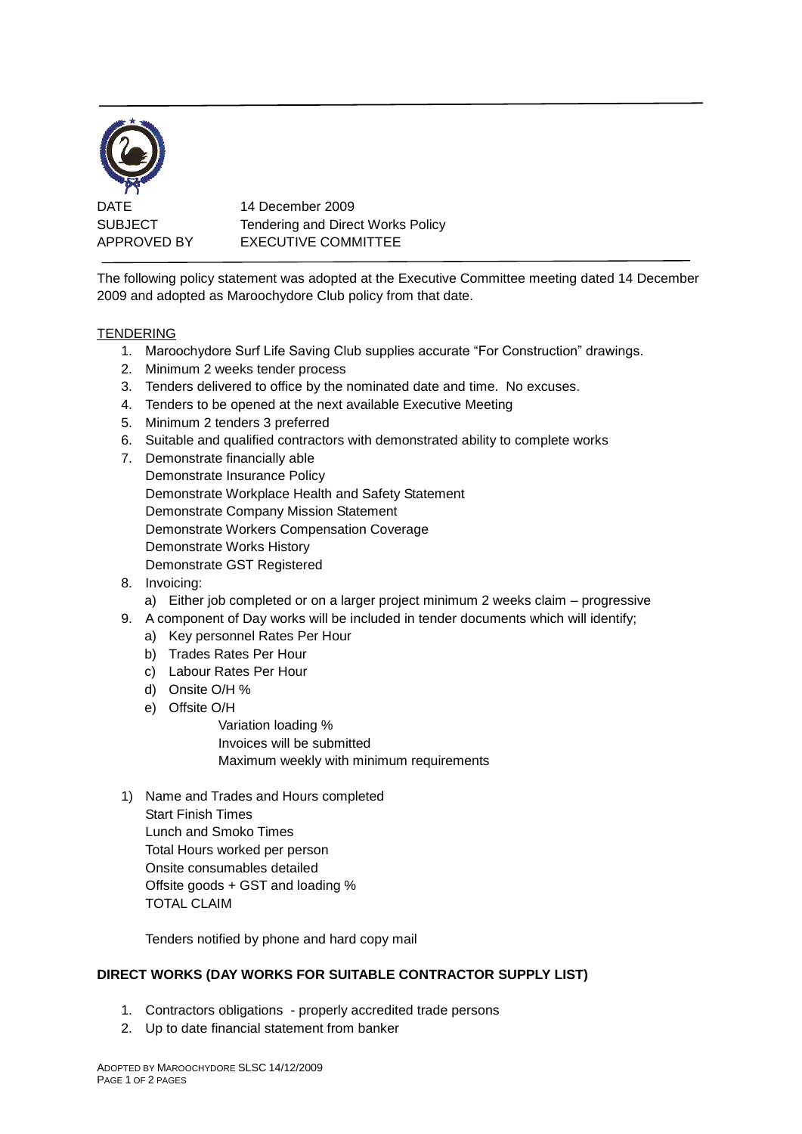

DATE 14 December 2009 SUBJECT Tendering and Direct Works Policy APPROVED BY EXECUTIVE COMMITTEE

The following policy statement was adopted at the Executive Committee meeting dated 14 December 2009 and adopted as Maroochydore Club policy from that date.

## TENDERING

- 1. Maroochydore Surf Life Saving Club supplies accurate "For Construction" drawings.
- 2. Minimum 2 weeks tender process
- 3. Tenders delivered to office by the nominated date and time. No excuses.
- 4. Tenders to be opened at the next available Executive Meeting
- 5. Minimum 2 tenders 3 preferred
- 6. Suitable and qualified contractors with demonstrated ability to complete works
- 7. Demonstrate financially able Demonstrate Insurance Policy Demonstrate Workplace Health and Safety Statement Demonstrate Company Mission Statement Demonstrate Workers Compensation Coverage Demonstrate Works History Demonstrate GST Registered
- 8. Invoicing:
	- a) Either job completed or on a larger project minimum 2 weeks claim progressive
- 9. A component of Day works will be included in tender documents which will identify;
	- a) Key personnel Rates Per Hour
	- b) Trades Rates Per Hour
	- c) Labour Rates Per Hour
	- d) Onsite O/H %
	- e) Offsite O/H

Variation loading % Invoices will be submitted Maximum weekly with minimum requirements

1) Name and Trades and Hours completed Start Finish Times Lunch and Smoko Times Total Hours worked per person Onsite consumables detailed Offsite goods + GST and loading % TOTAL CLAIM

Tenders notified by phone and hard copy mail

## **DIRECT WORKS (DAY WORKS FOR SUITABLE CONTRACTOR SUPPLY LIST)**

- 1. Contractors obligations properly accredited trade persons
- 2. Up to date financial statement from banker